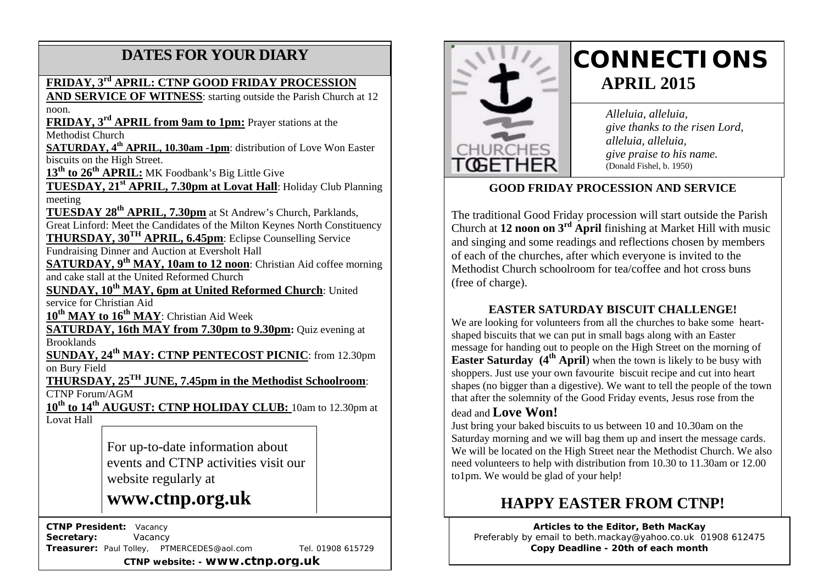# **DATES FOR YOUR DIARY**

### **FRIDAY, 3rd APRIL: CTNP GOOD FRIDAY PROCESSION**

**AND SERVICE OF WITNESS**: starting outside the Parish Church at 12 noon.

 **FRIDAY, 3rd APRIL from 9am to 1pm:** Prayer stations at the Methodist Church

 **SATURDAY, 4th APRIL, 10.30am -1pm**: distribution of Love Won Easter biscuits on the High Street.

13<sup>th</sup> to 26<sup>th</sup> APRIL: MK Foodbank's Big Little Give

**TUESDAY, 21st APRIL, 7.30pm at Lovat Hall**: Holiday Club Planning meeting

**TUESDAY 28th APRIL, 7.30pm** at St Andrew's Church, Parklands, Great Linford: Meet the Candidates of the Milton Keynes North Constituency **THURSDAY, 30TH APRIL, 6.45pm**: Eclipse Counselling Service

Fundraising Dinner and Auction at Eversholt Hall

**SATURDAY, 9th MAY, 10am to 12 noon**: Christian Aid coffee morning and cake stall at the United Reformed Church

**SUNDAY, 10<sup>th</sup> MAY, 6pm at United Reformed Church:** United service for Christian Aid

**10th MAY to 16th MAY**: Christian Aid Week

**SATURDAY, 16th MAY from 7.30pm to 9.30pm:** Quiz evening at Brooklands

**SUNDAY, 24th MAY: CTNP PENTECOST PICNIC**: from 12.30pm on Bury Field

**THURSDAY, 25TH JUNE, 7.45pm in the Methodist Schoolroom**: CTNP Forum/AGM

**10th to 14th AUGUST: CTNP HOLIDAY CLUB:** 10am to 12.30pm at Lovat Hall

> For up-to-date information about events and CTNP activities visit our website regularly at

# **www.ctnp.org.uk**

 **CTNP President:** Vacancy

Secretary: **Vacancy Treasurer:** Paul Tolley, PTMERCEDES@aol.com Tel. 01908 615729

**CTNP website: - www.ctnp.org.uk**



# **CONNECTIONS APRIL 2015**

*Alleluia, alleluia, give thanks to the risen Lord, alleluia, alleluia, give praise to his name.* (Donald Fishel, b. 1950)

## **GOOD FRIDAY PROCESSION AND SERVICE**

The traditional Good Friday procession will start outside the Parish Church at **12 noon on 3rd April** finishing at Market Hill with music and singing and some readings and reflections chosen by members of each of the churches, after which everyone is invited to the Methodist Church schoolroom for tea/coffee and hot cross buns (free of charge).

### **EASTER SATURDAY BISCUIT CHALLENGE!**

We are looking for volunteers from all the churches to bake some heartshaped biscuits that we can put in small bags along with an Easter message for handing out to people on the High Street on the morning of **Easter Saturday** (4<sup>th</sup> **April**) when the town is likely to be busy with shoppers. Just use your own favourite biscuit recipe and cut into heart shapes (no bigger than a digestive). We want to tell the people of the town that after the solemnity of the Good Friday events, Jesus rose from the

#### dead and **Love Won!**

Just bring your baked biscuits to us between 10 and 10.30am on the Saturday morning and we will bag them up and insert the message cards. We will be located on the High Street near the Methodist Church. We also need volunteers to help with distribution from 10.30 to 11.30am or 12.00 to1pm. We would be glad of your help!

# **HAPPY EASTER FROM CTNP!**

**Articles to the Editor, Beth MacKay** Preferably by email to beth.mackay@yahoo.co.uk 01908 612475 **Copy Deadline - 20th of each month**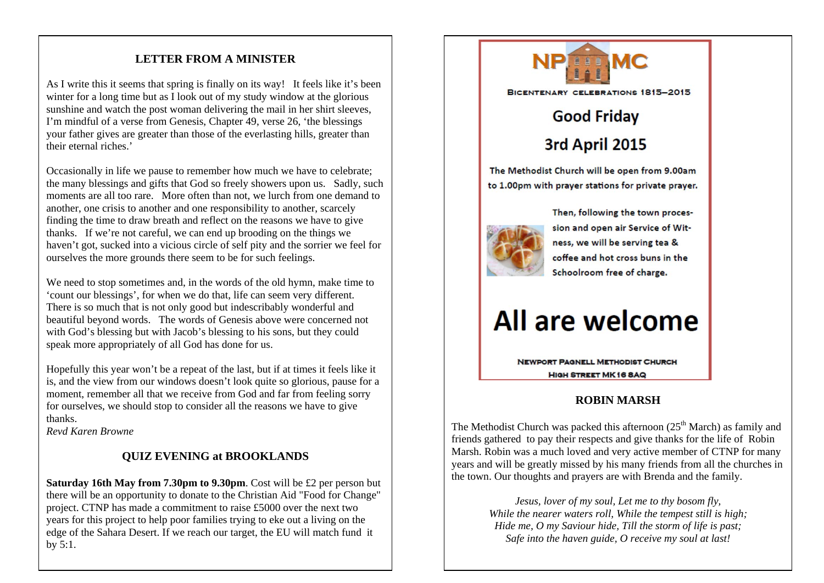#### **LETTER FROM A MINISTER**

As I write this it seems that spring is finally on its way! It feels like it's been winter for a long time but as I look out of my study window at the glorious sunshine and watch the post woman delivering the mail in her shirt sleeves, I'm mindful of a verse from Genesis, Chapter 49, verse 26, 'the blessings your father gives are greater than those of the everlasting hills, greater than their eternal riches.'

Occasionally in life we pause to remember how much we have to celebrate; the many blessings and gifts that God so freely showers upon us. Sadly, such moments are all too rare. More often than not, we lurch from one demand to another, one crisis to another and one responsibility to another, scarcely finding the time to draw breath and reflect on the reasons we have to give thanks. If we're not careful, we can end up brooding on the things we haven't got, sucked into a vicious circle of self pity and the sorrier we feel for ourselves the more grounds there seem to be for such feelings.

We need to stop sometimes and, in the words of the old hymn, make time to 'count our blessings', for when we do that, life can seem very different. There is so much that is not only good but indescribably wonderful and beautiful beyond words. The words of Genesis above were concerned not with God's blessing but with Jacob's blessing to his sons, but they could speak more appropriately of all God has done for us.

Hopefully this year won't be a repeat of the last, but if at times it feels like it is, and the view from our windows doesn't look quite so glorious, pause for a moment, remember all that we receive from God and far from feeling sorry for ourselves, we should stop to consider all the reasons we have to give thanks.

*Revd Karen Browne*

#### **QUIZ EVENING at BROOKLANDS**

**Saturday 16th May from 7.30pm to 9.30pm**. Cost will be £2 per person but there will be an opportunity to donate to the Christian Aid "Food for Change" project. CTNP has made a commitment to raise £5000 over the next two years for this project to help poor families trying to eke out a living on the edge of the Sahara Desert. If we reach our target, the EU will match fund it by 5:1.



The Methodist Church was packed this afternoon  $(25<sup>th</sup> March)$  as family and friends gathered to pay their respects and give thanks for the life of Robin Marsh. Robin was a much loved and very active member of CTNP for many years and will be greatly missed by his many friends from all the churches in the town. Our thoughts and prayers are with Brenda and the family.

> *Jesus, lover of my soul, Let me to thy bosom fly, While the nearer waters roll, While the tempest still is high; Hide me, O my Saviour hide, Till the storm of life is past; Safe into the haven guide, O receive my soul at last!*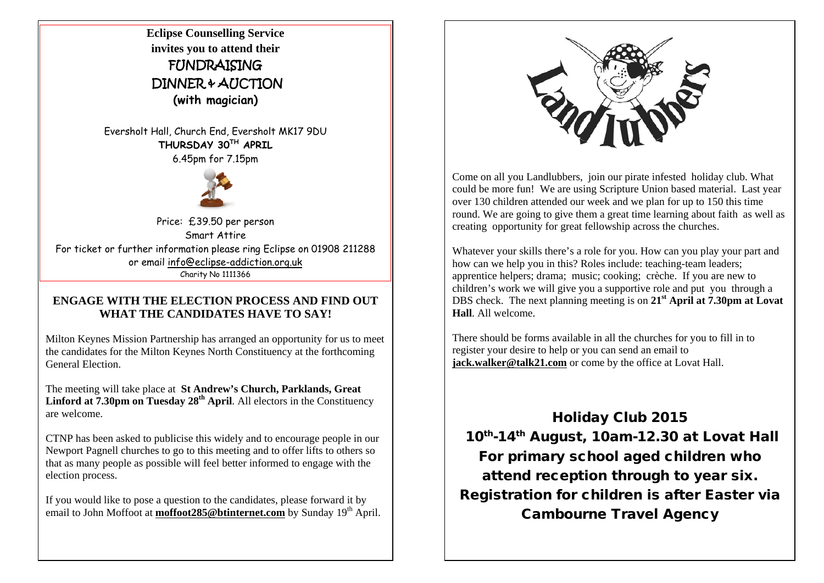**Eclipse Counselling Service invites you to attend their** FUNDRAISING DINNER & AUCTION **(with magician)**

Eversholt Hall, Church End, Eversholt MK17 9DU **THURSDAY 30TH APRIL** 

6.45pm for 7.15pm



Price: £39.50 per person Smart Attire For ticket or further information please ring Eclipse on 01908 211288 or email info@eclipse-addiction.org.uk Charity No 1111366

#### **ENGAGE WITH THE ELECTION PROCESS AND FIND OUT WHAT THE CANDIDATES HAVE TO SAY!**

Milton Keynes Mission Partnership has arranged an opportunity for us to meet the candidates for the Milton Keynes North Constituency at the forthcoming General Election.

The meeting will take place at **St Andrew's Church, Parklands, Great Linford at 7.30pm on Tuesday 28th April**. All electors in the Constituency are welcome.

CTNP has been asked to publicise this widely and to encourage people in our Newport Pagnell churches to go to this meeting and to offer lifts to others so that as many people as possible will feel better informed to engage with the election process.

If you would like to pose a question to the candidates, please forward it by email to John Moffoot at **moffoot285@btinternet.com** by Sunday 19<sup>th</sup> April.



Come on all you Landlubbers, join our pirate infested holiday club. What could be more fun! We are using Scripture Union based material. Last year over 130 children attended our week and we plan for up to 150 this time round. We are going to give them a great time learning about faith as well as creating opportunity for great fellowship across the churches.

Whatever your skills there's a role for you. How can you play your part and how can we help you in this? Roles include: teaching-team leaders; apprentice helpers; drama; music; cooking; crèche. If you are new to children's work we will give you a supportive role and put you through a DBS check. The next planning meeting is on **21st April at 7.30pm at Lovat Hall**. All welcome.

There should be forms available in all the churches for you to fill in to register your desire to help or you can send an email to **jack.walker@talk21.com** or come by the office at Lovat Hall.

Holiday Club 2015 10<sup>th</sup>-14<sup>th</sup> August, 10am-12.30 at Lovat Hall For primary school aged children who attend reception through to year six. Registration for children is after Easter via Cambourne Travel Agency